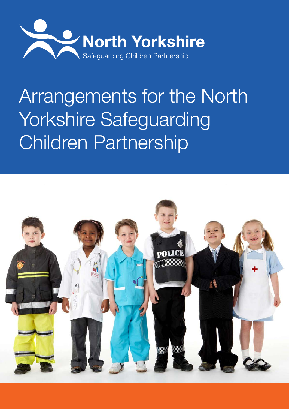

# Arrangements for the North Yorkshire Safeguarding Children Partnership

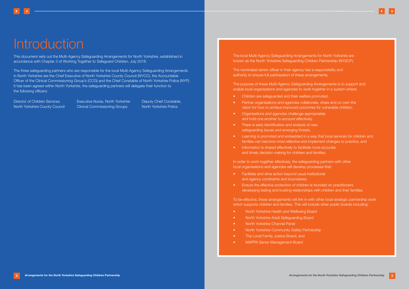# **Introduction**

This document sets out the Multi-Agency Safeguarding Arrangements for North Yorkshire, established in accordance with Chapter 3 of Working Together to Safeguard Children, July 2018.

The three safeguarding partners who are responsible for the local Multi-Agency Safeguarding Arrangements in North Yorkshire are the Chief Executive of North Yorkshire County Council (NYCC), the Accountable Officer of the Clinical Commissioning Group's (CCG) and the Chief Constable of North Yorkshire Police (NYP). It has been agreed within North Yorkshire, the safeguarding partners will delegate their function to the following officers:

Director of Children Services North Yorkshire County Council Executive Nurse, North Yorkshire Clinical Commissioning Groups

Deputy Chief Constable, North Yorkshire Police

- Children are safeguarded and their welfare promoted,
- Partner organisations and agencies collaborate, share and co-own the vision for how to achieve improved outcomes for vulnerable children,
- Organisations and agencies challenge appropriately and hold one another to account effectively,
- There is early identification and analysis of new safeguarding issues and emerging threats,
- Learning is promoted and embedded in a way that local services for children and families can become more reflective and implement changes to practice, and
- Information is shared effectively to facilitate more accurate and timely decision making for children and families.

The local Multi-Agency Safeguarding Arrangements for North Yorkshire are known as the North Yorkshire Safeguarding Children Partnership (NYSCP).

In order to work together effectively, the safeguarding partners with other local organisations and agencies will develop processes that:

The nominated senior officer in their agency has a responsibility and authority to ensure full participation of these arrangements.

- Facilitate and drive action beyond usual institutional and agency constraints and boundaries;
- Ensure the effective protection of children is founded on practitioners developing lasting and trusting relationships with children and their families.

To be effective, these arrangements will link in with other local strategic partnership work which supports children and families. This will include other public boards including:

- North Yorkshire Health and Wellbeing Board
- North Yorkshire Adult Safeguarding Board
- North Yorkshire Channel Panel
- North Yorkshire Community Safety Partnership
- The Local Family Justice Board, and
- MAPPA Senior Management Board

The purpose of these Multi-Agency Safeguarding Arrangements is to support and enable local organisations and agencies to work together in a system where: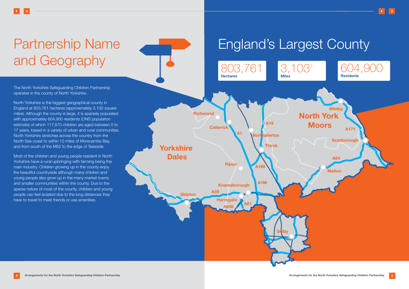# Partnership Name and Geography

The North Yorkshire Safeguarding Children Partnership operates in the county of North Yorkshire.

North Yorkshire is the biggest geographical county in England at 803,761 hectares (approximately 3,100 square miles). Although the county is large, it is sparsely populated with approximately 604,900 residents (ONS population estimate) of which 117,670 children are aged between 0 to 17 years, based in a variety of urban and rural communities. North Yorkshire stretches across the country from the North Sea coast to within 12 miles of Morecambe Bay, and from south of the M62 to the edge of Teesside.

Most of the children and young people resident in North Yorkshire have a rural upbringing with farming being the main industry. Children growing up in the county enjoy the beautiful countryside although many children and young people also grow up in the many market towns and smaller communities within the county. Due to the sparse nature of most of the county, children and young people can feel isolated due to the long distances they have to travel to meet friends or use amenities.





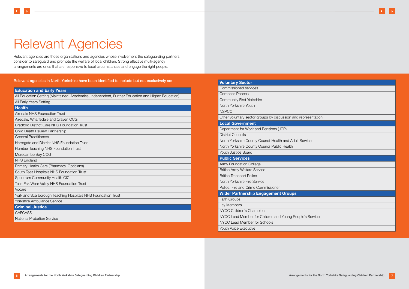# <span id="page-3-0"></span>Relevant Agencies

Relevant agencies are those organisations and agencies whose involvement the safeguarding partners consider to safeguard and promote the welfare of local children. Strong effective multi-agency arrangements are ones that are responsive to local circumstances and engage the right people.

Relevant agencies in North Yorkshire have been identified to include but not exclusively so:

| <b>Education and Early Years</b>                                                                   |
|----------------------------------------------------------------------------------------------------|
| All Education Setting (Maintained, Academies, Independent, Further Education and Higher Education) |
| All Early Years Setting                                                                            |
| <b>Health</b>                                                                                      |
| <b>Airedale NHS Foundation Trust</b>                                                               |
| Airedale, Wharfedale and Craven CCG                                                                |
| <b>Bradford District Care NHS Foundation Trust</b>                                                 |
| <b>Child Death Review Partnership</b>                                                              |
| <b>General Practitioners</b>                                                                       |
| Harrogate and District NHS Foundation Trust                                                        |
| Humber Teaching NHS Foundation Trust                                                               |
| Morecambe Bay CCG                                                                                  |
| <b>NHS England</b>                                                                                 |
| Primary Health Care (Pharmacy, Opticians)                                                          |
| South Tees Hospitals NHS Foundation Trust                                                          |
| Spectrum Community Health CIC                                                                      |
| <b>Tees Esk Wear Valley NHS Foundation Trust</b>                                                   |
| Vocare                                                                                             |
| York and Scarborough Teaching Hospitals NHS Foundation Trust                                       |
| <b>Yorkshire Ambulance Service</b>                                                                 |
| <b>Criminal Justice</b>                                                                            |
| <b>CAFCASS</b>                                                                                     |
| <b>National Probation Service</b>                                                                  |

| Commissioned services                                          |
|----------------------------------------------------------------|
| <b>Compass Phoenix</b>                                         |
| <b>Community First Yorkshire</b>                               |
| North Yorkshire Youth                                          |
| <b>NSPCC</b>                                                   |
| Other voluntary sector groups by discussion and representation |
| <b>Local Government</b>                                        |
| Department for Work and Pensions (JCP)                         |
| <b>District Councils</b>                                       |
| North Yorkshire County Council Health and Adult Service        |
| North Yorkshire County Council Public Health                   |
| <b>Youth Justice Board</b>                                     |
| <b>Public Services</b>                                         |
| <b>Army Foundation College</b>                                 |
| <b>British Army Welfare Service</b>                            |
| <b>British Transport Police</b>                                |
| North Yorkshire Fire Service                                   |
| Police, Fire and Crime Commissioner                            |
| <b>Wider Partnership Engagement Groups</b>                     |
| <b>Faith Groups</b>                                            |
| Lay Members                                                    |
| NYCC Children's Champion                                       |
| NYCC Lead Member for Children and Young People's Service       |
| NYCC Lead Member for Schools                                   |
| <b>Youth Voice Executive</b>                                   |

**Voluntary Sector** 

| sentation |  |
|-----------|--|
|           |  |
|           |  |
|           |  |
| æ         |  |
|           |  |
|           |  |
|           |  |
|           |  |
|           |  |
|           |  |
|           |  |
|           |  |
|           |  |
|           |  |
|           |  |
|           |  |
|           |  |
|           |  |
| Service   |  |
|           |  |
|           |  |
|           |  |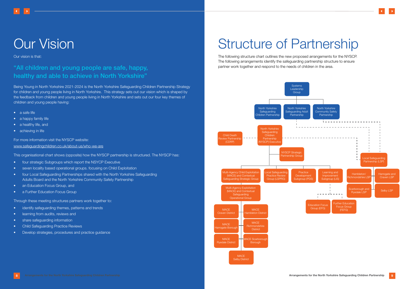# Our Vision

Our vision is that:

# "All children and young people are safe, happy, healthy and able to achieve in North Yorkshire"

Being Young in North Yorkshire 2021-2024 is the North Yorkshire Safeguarding Children Partnership Strategy for children and young people living in North Yorkshire. This strategy sets out our vision which is shaped by the feedback from children and young people living in North Yorkshire and sets out our four key themes of children and young people having:

- a safe life
- a happy family life
- a healthy life, and
- achieving in life

- four strategic Subgroups which report the NSYCP Executive
- seven locality based operational groups. focusing on Child Exploitation
- four Local Safeguarding Partnerships shared with the North Yorkshire Safeguarding Adults Board and the North Yorkshire Community Safety Partnership
- an Education Focus Group, and
- a Further Education Focus Group

For more information visit the NYSCP website: [www.safeguardingchildren.co.uk/about-us/who-we-are](http://www.safeguardingchildren.co.uk/about-us/who-we-are)

This organisational chart shows (opposite) how the NYSCP partnership is structured. The NYSCP has:

Through these meeting structures partners work together to:

- identify safeguarding themes, patterns and trends
- learning from audits, reviews and
- share safequarding information
- Child Safeguarding Practice Reviews
- Develop strategies, procedures and practice guidance

# **Structure of Partnership**

The following structure chart outlines the new proposed arrangements for the NYSCP. The following arrangements identify the safeguarding partnership structure to ensure partner work together and respond to the needs of children in the area.

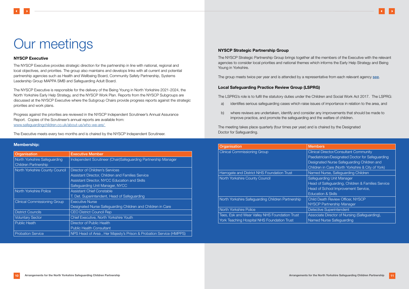# NYSCP Executive

The NYSCP Executive provides strategic direction for the partnership in line with national, regional and local objectives, and priorities. The group also maintains and develops links with all current and potential partnership agencies such as Health and Wellbeing Board, Community Safety Partnership, Systems Leadership Group MAPPA SMB and Safeguarding Adult Board.

The NYSCP Executive is responsible for the delivery of the Being Young in North Yorkshire 2021-2024, the North Yorkshire Early Help Strategy, and the NYSCP Work Plan. Reports from the NYSCP Subgroups are discussed at the NYSCP Executive where the Subgroup Chairs provide progress reports against the strategic priorities and work plans.

Progress against the priorities are reviewed in the NYSCP Independent Scrutineer's Annual Assurance Report. Copies of the Scrutineer's annual reports are available from: [www.safeguardingchildren.co.uk/about-us/who-we-are/](http://www.safeguardingchildren.co.uk/about-us/who-we-are/) 

The Executive meets every two months and is chaired by the NYSCP Independent Scrutineer.

# Membership:

| Organisation                        | <b>Executive Member</b>                                            |
|-------------------------------------|--------------------------------------------------------------------|
| North Yorkshire Safeguarding        | Independent Scrutineer (Chair)Safeguarding Partnership Manager     |
| <b>Children Partnership</b>         |                                                                    |
| North Yorkshire County Council      | Director of Children's Services                                    |
|                                     | <b>Assistant Director, Children and Families Service</b>           |
|                                     | Assistant Director, NYCC Education and Skills                      |
|                                     | Safeguarding Unit Manager, NYCC                                    |
| North Yorkshire Police              | <b>Assistant Chief Constable</b>                                   |
|                                     | T. Det. Superintendent, Head of Safeguarding                       |
| <b>Clinical Commissioning Group</b> | <b>Executive Nurse</b>                                             |
|                                     | Designated Nurse Safeguarding Children and Children in Care        |
| <b>District Councils</b>            | <b>CEO District Council Rep</b>                                    |
| <b>Voluntary Sector</b>             | Chief Executive, North Yorkshire Youth                             |
| Public Heath                        | <b>Director of Public Health</b>                                   |
|                                     | <b>Public Health Consultant</b>                                    |
| <b>Probation Service</b>            | NPS Head of Area, Her Majesty's Prison & Probation Service (HMPPS) |

# NYSCP Strategic Partnership Group

The NYSCP Strategic Partnership Group brings together all the members of the Executive with the relevant agencies to consider local priorities and national themes which informs the Early Help Strategy and Being Young in Yorkshire.

The group meets twice per year and is attended by a representative from each relevant agency [see](#page-3-0).

# Local Safeguarding Practice Review Group (LSPRG)

The LSPRG's role is to fulfil the statutory duties under the Children and Social Work Act 2017. The LSPRG:

- a) identifies serious safeguarding cases which raise issues of importance in relation to the area, and
- b) where reviews are undertaken, identify and consider any improvements that should be made to improve practice, and promote the safeguarding and the welfare of children.

The meeting takes place quarterly (four times per year) and is chaired by the Designated Doctor for Safeguarding.

| Organisation                                      | <b>Members</b>                                |
|---------------------------------------------------|-----------------------------------------------|
| <b>Clinical Commissioning Group</b>               | <b>Clinical Director/Consultant Community</b> |
|                                                   | Paediatrician/Designated Doctor for Saf       |
|                                                   | Designated Nurse Safeguarding Childrei        |
|                                                   | Children in Care (North Yorkshire & City      |
| Harrogate and District NHS Foundation Trust       | Named Nurse, Safeguarding Children            |
| North Yorkshire County Council                    | Safeguarding Unit Manager                     |
|                                                   | Head of Safeguarding, Children & Famili       |
|                                                   | Head of School Improvement Service,           |
|                                                   | <b>Education &amp; Skills</b>                 |
| North Yorkshire Safeguarding Children Partnership | Child Death Review Officer, NYSCP             |
|                                                   | NYSCP Partnership Manager                     |
| North Yorkshire Police                            | <b>Detective Superintendent</b>               |
| Tees, Esk and Wear Valley NHS Foundation Trust    | Associate Director of Nursing (Safeguard      |
| York Teaching Hospital NHS Foundation Trust       | Named Nurse Safeguarding                      |



| <b>Members</b>                                    |
|---------------------------------------------------|
| <b>Clinical Director/Consultant Community</b>     |
| Paediatrician/Designated Doctor for Safeguarding  |
| Designated Nurse Safeguarding Children and        |
| Children in Care (North Yorkshire & City of York) |
| Named Nurse, Safeguarding Children                |
| <b>Safeguarding Unit Manager</b>                  |
| Head of Safeguarding, Children & Families Service |
| Head of School Improvement Service,               |
| <b>Education &amp; Skills</b>                     |
| <b>Child Death Review Officer, NYSCP</b>          |
| <b>NYSCP</b> Partnership Manager                  |
| <b>Detective Superintendent</b>                   |
| Associate Director of Nursing (Safeguarding),     |
| Named Nurse Safeguarding                          |
|                                                   |

# Our meetings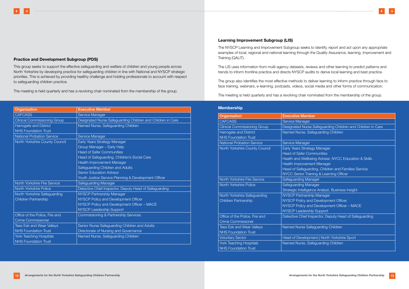# Practice and Development Subgroup (PDS)

This group seeks to support the effective safeguarding and welfare of children and young people across North Yorkshire by developing practice for safeguarding children in line with National and NYSCP strategic priorities. This is achieved by providing healthy challenge and holding professionals to account with respect to safeguarding children practice.

The meeting is held quarterly and has a revolving chair nominated from the membership of the group.

| Organisation                        | <b>Executive Member</b>                                     |
|-------------------------------------|-------------------------------------------------------------|
| <b>CAFCASS</b>                      | Service Manager                                             |
| <b>Clinical Commissioning Group</b> | Designated Nurse Safeguarding Children and Children in Care |
| Harrogate and District              | Named Nurse, Safeguarding Children                          |
| <b>NHS Foundation Trust</b>         |                                                             |
| <b>National Probation Service</b>   | Service Manager                                             |
| North Yorkshire County Council      | Early Years Strategy Manager                                |
|                                     | Group Manager - Early Help                                  |
|                                     | <b>Head of Safer Communities</b>                            |
|                                     | Head of Safeguarding, Children's Social Care                |
|                                     | Health Improvement Manager                                  |
|                                     | Safeguarding Children and Adults                            |
|                                     | <b>Senior Education Advisor</b>                             |
|                                     | Youth Justice Service Planning & Development Officer        |
| North Yorkshire Fire Service        | Safeguarding Manager                                        |
| North Yorkshire Police              | Detective Chief Inspector, Deputy Head of Safeguarding      |
| North Yorkshire Safeguarding        | NYSCP Partnership Manager                                   |
| Children Partnership                | NYSCP Policy and Development Officer                        |
|                                     | NYSCP Policy and Development Officer - MACE                 |
|                                     | <b>NYSCP Leadership Support</b>                             |
| Office of the Police, Fire and      | Commissioning & Partnership Services                        |
| <b>Crime Commissioner</b>           |                                                             |
| <b>Tees Esk and Wear Valleys</b>    | Senior Nurse Safeguarding Children and Adults               |
| <b>NHS Foundation Trust</b>         | Directorate of Nursing and Governance                       |
| <b>York Teaching Hospitals</b>      | Named Nurse, Safeguarding Children                          |
| <b>NHS Foundation Trust</b>         |                                                             |

# Learning Improvement Subgroup (LIS)

The NYSCP Learning and Improvement Subgroup seeks to identify, report and act upon any appropriate examples of local, regional and national learning through the Quality Assurance, learning, Improvement and Training (QALIT).

The LIS uses information from multi-agency datasets, reviews and other learning to predict patterns and trends to inform frontline practice and directs NYSCP audits to derive local learning and best practice.

The group also identifies the most effective methods to deliver learning to inform practice through face to face training, webinars, e-learning, podcasts, videos, social media and other forms of communication.

The meeting is held quarterly and has a revolving chair nominated from the membership of the group.

### Membership

| Organisation                        | <b>Executive Member</b>                                     |
|-------------------------------------|-------------------------------------------------------------|
| <b>CAFCASS</b>                      | Service Manager                                             |
| <b>Clinical Commissioning Group</b> | Designated Nurse Safeguarding Children and Children in Care |
| Harrogate and District              | Named Nurse, Safeguarding Children                          |
| <b>NHS Foundation Trust</b>         |                                                             |
| <b>National Probation Service</b>   | <b>Service Manager</b>                                      |
| North Yorkshire County Council      | Early Years Strategy Manager                                |
|                                     | <b>Head of Safer Communities</b>                            |
|                                     | Health and Wellbeing Adviser, NYCC Education & Skills       |
|                                     | Health Improvement Manager                                  |
|                                     | Head of Safeguarding, Children and Families Service         |
|                                     | NYCC Senior Training & Learning Officer                     |
| <b>North Yorkshire Fire Service</b> | Safeguarding Manager                                        |
| North Yorkshire Police              | <b>Safeguarding Manager</b>                                 |
|                                     | Strategic Intelligence Analyst, Business Insight            |
| North Yorkshire Safeguarding        | NYSCP Partnership Manager                                   |
| <b>Children Partnership</b>         | NYSCP Policy and Development Officer                        |
|                                     | NYSCP Policy and Development Officer - MACE                 |
|                                     | NYSCP Leadership Support                                    |
| Office of the Police, Fire and      | Detective Chief Inspector, Deputy Head of Safeguarding      |
| <b>Crime Commissioner</b>           |                                                             |
| <b>Tees Esk and Wear Valleys</b>    | Named Nurse Safeguarding Children                           |
| <b>NHS Foundation Trust</b>         |                                                             |
| <b>Voluntary Sector</b>             | Head of Development, North Yorkshire Sport                  |
| <b>York Teaching Hospitals</b>      | Named Nurse, Safeguarding Children                          |
| <b>NHS Foundation Trust</b>         |                                                             |

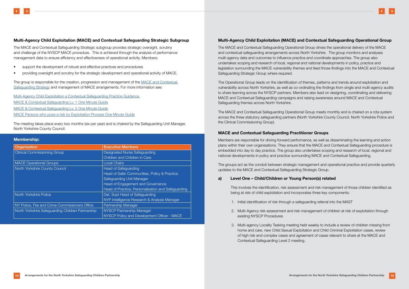# Multi-Agency Child Exploitation (MACE) and Contextual Safeguarding Strategic Subgroup

The MACE and Contextual Safeguarding Strategic subgroup provides strategic oversight, scrutiny and challenge of the NYSCP MACE procedure. This is achieved through the analysis of performance management data to ensure efficiency and effectiveness of operational activity. Members:

- support the development of robust and effective practices and procedures
- providing oversight and scrutiny for the strategic development and operational activity of MACE.

The group is responsible for the creation, progression and management of the [MACE and Contextual](https://www.safeguardingchildren.co.uk/wp-content/uploads/2021/02/MACE-and-Contextual-Safeguarding-Strategy-2020-2023.pdf)  [Safeguarding Strategy](https://www.safeguardingchildren.co.uk/wp-content/uploads/2021/02/MACE-and-Contextual-Safeguarding-Strategy-2020-2023.pdf) and management of MACE arrangements. For more information see:

[Multi-Agency Child Exploitation a Contextual Safeguarding Practice Guidance](https://www.safeguardingchildren.co.uk/professionals/practice-guidance/multi-agency-child-exploitation-mace-and-contextual-safeguarding/)  [MACE & Contextual Safeguarding Lv. 1 One Minute Guide](https://www.safeguardingchildren.co.uk/professionals/one-minute-guides/multi-agency-child-exploitation-mace-and-contextual-safeguarding-level-1/) [MACE & Contextual Safeguarding Lv. 2 One Minute Guide](https://www.safeguardingchildren.co.uk/professionals/one-minute-guides/multi-agency-child-exploitation-mace-and-contextual-safeguarding-level-2/) [MACE Persons who pose a risk by Exploitation Process One Minute Guide](https://www.safeguardingchildren.co.uk/professionals/one-minute-guides/mace-persons-who-pose-a-risk-of-exploitation-process/)

The meeting takes place every two months (six per year) and is chaired by the Safeguarding Unit Manager, North Yorkshire County Council.

### Membership:

| Organisation                                      | <b>Executive Members</b>                           |
|---------------------------------------------------|----------------------------------------------------|
| <b>Clinical Commissioning Group</b>               | <b>Designated Nurse Safeguarding</b>               |
|                                                   | Children and Children in Care                      |
| <b>MACE Operational Groups</b>                    | <b>Local Chairs</b>                                |
| North Yorkshire County Council                    | <b>Head of Safeguarding</b>                        |
|                                                   | Head of Safer Communities, Policy & Practice       |
|                                                   | Safeguarding Unit Manager                          |
|                                                   | Head of Engagement and Governance                  |
|                                                   | Head of Practice, Personalisation and Safeguarding |
| North Yorkshire Police                            | Det. Supt Head of Safeguarding                     |
|                                                   | NYP Intelligence Research & Analysis Manager       |
| NY Police, Fire and Crime Commissioners Office    | Partnership Manager                                |
| North Yorkshire Safeguarding Children Partnership | NYSCP Partnership Manager                          |
|                                                   | NYSCP Policy and Development Officer - MACE        |

# Multi-Agency Child Exploitation (MACE) and Contextual Safeguarding Operational Group

The MACE and Contextual Safeguarding Operational Group drives the operational delivery of the MACE and contextual safeguarding arrangements across North Yorkshire. The group monitors and analyses multi-agency data and outcomes to influence practice and coordinate approaches. The group also undertakes scoping and research of local, regional and national developments in policy, practice and legislation surrounding the MACE vulnerability themes and feed those findings into the MACE and Contextual Safeguarding Strategic Group where required.

The Operational Group leads on the identification of themes, patterns and trends around exploitation and vulnerability across North Yorkshire, as well as co-ordinating the findings from single and multi-agency audits to share learning across the NYSCP partners. Members also lead on designing, coordinating and delivering MACE and Contextual Safeguarding campaigns and raising awareness around MACE and Contextual Safeguarding themes across North Yorkshire.

The MACE and Contextual Safeguarding Operational Group meets monthly and is chaired on a rota system across the three statutory safeguarding partners (North Yorkshire County Council, North Yorkshire Police and the Clinical Commissioning Group).

# MACE and Contextual Safeguarding Practitioner Groups

Members are responsible for driving forward performance, as well as disseminating the learning and action plans within their own organisations. They ensure that the MACE and Contextual Safeguarding procedure is embedded into day to day practice. The group also undertakes scoping and research of local, regional and national developments in policy and practice surrounding MACE and Contextual Safeguarding.

The groups act as the conduit between strategic management and operational practice and provide quarterly updates to the MACE and Contextual Safeguarding Strategic Group.

# a) Level One – Child/Children or Young Person(s) related

This involves the identification, risk assessment and risk management of those children identified as being at risk of child exploitation and incorporates three key components:

2. Multi-Agency risk assessment and risk management of children at risk of exploitation through

- 1. Initial identification of risk through a safeguarding referral into the MAST
- existing NYSCP Procedures
- Contextual Safeguarding Level 2 meeting.



3. Multi-agency Locality Tasking meeting held weekly to include a review of children missing from home and care, new Child Sexual Exploitation and Child Criminal Exploitation cases, review of high risk and complex cases and agreement of cases relevant to share at the MACE and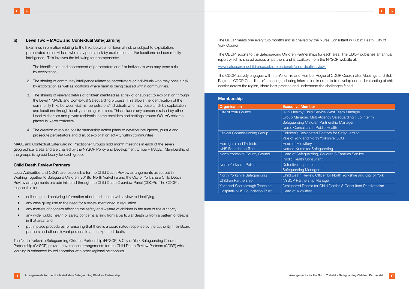# b) Level Two – MACE and Contextual Safeguarding

Examines information relating to the links between children at risk or subject to exploitation, perpetrators or individuals who may pose a risk by exploitation and/or locations and community intelligence. This involves the following four components:

- 1. The identification and assessment of perpetrators and / or individuals who may pose a risk by exploitation.
- 2. The sharing of community intelligence related to perpetrators or individuals who may pose a risk by exploitation as well as locations where harm is being caused within communities.
- 3. The sharing of relevant details of children identified as at risk of or subject to exploitation through the Level 1 MACE and Contextual Safeguarding process. This allows the identification of the community links between victims, perpetrators/individuals who may pose a risk by exploitation and locations through locality mapping exercises. This includes any concerns raised by other Local Authorities and private residential home providers and settings around OOLAC children placed in North Yorkshire.
- 4. The creation of robust locality partnership action plans to develop intelligence, pursue and prosecute perpetrators and disrupt exploitation activity within communities.

MACE and Contextual Safeguarding Practitioner Groups hold month meetings in each of the seven geographical areas and are chaired by the NYSCP Policy and Development Officer – MACE. Membership of the groups is agreed locally for each group.

# Child Death Review Partners

Local Authorities and CCG's are responsible for the Child Death Review arrangements as set out in Working Together to Safeguard Children (2018). North Yorkshire and the City of York share Child Death Review arrangements are administered through the Child Death Overview Panel (CDOP). The CDOP is responsible for:

- collecting and analysing information about each death with a view to identifying.
- any case giving rise to the need for a review mentioned in regulation.
- any matters of concern affecting the safety and welfare of children in the area of the authority.
- any wider public health or safety concerns arising from a particular death or from a pattern of deaths in that area, and
- put in place procedures for ensuring that there is a coordinated response by the authority, their Board partners and other relevant persons to an unexpected death.

The North Yorkshire Safeguarding Children Partnership (NYSCP) & City of York Safeguarding Children Partnership (CYSCP) provide governance arrangements for the Child Death Review Partners (CDRP) while learning is enhanced by collaboration with other regional neighbours.

The CDOP meets one every two months and is chaired by the Nurse Consultant in Public Heath, City of York Council.

The CDOP reports to the Safeguarding Children Partnerships for each area. The CDOP publishes an annual report which is shared across all partners and is available from the NYSCP website at:

[www.safeguardingchildren.co.uk/professionals/child-death-review](http://www.safeguardingchildren.co.uk/professionals/child-death-review) 

The CDOP actively engages with the Yorkshire and Humber Regional CDOP Coordinator Meetings and Sub-Regional CDOP Coordinator's meetings, sharing information in order to to develop our understanding of child deaths across the region, share best practice and understand the challenges faced.

# Membership

| Organisation                          | <b>Executive Member</b>                            |
|---------------------------------------|----------------------------------------------------|
| <b>City of York Council</b>           | 0-19 Healthy Child Service West Team Manager       |
|                                       | Group Manager, Multi-Agency Safeguarding Hub Ir    |
|                                       | Safeguarding Children Partnership Manager          |
|                                       | <b>Nurse Consultant in Public Health</b>           |
| <b>Clinical Commissioning Group</b>   | Children's Designated Doctors for Safeguarding,    |
|                                       | Vale of York and North Yorkshire CCG               |
| <b>Harrogate and Districts</b>        | <b>Head of Midwifery</b>                           |
| <b>NHS Foundation Trust</b>           | Named Nurse for Safeguarding                       |
| North Yorkshire County Council        | Head of Safeguarding, Children & Families Service  |
|                                       | <b>Public Health Consultant</b>                    |
| North Yorkshire Police                | Detective Inspector                                |
|                                       | Safeguarding Manager                               |
| North Yorkshire Safeguarding          | Child Death Review Officer for North Yorkshire and |
| <b>Children Partnership</b>           | <b>NYSCP Partnership Manager</b>                   |
| York and Scarborough Teaching         | Designated Doctor for Child Deaths & Consultant F  |
| <b>Hospitals NHS Foundation Trust</b> | <b>Head of Midwifery</b>                           |



| <b>Executive Member</b>                                         |
|-----------------------------------------------------------------|
| 0-19 Healthy Child Service West Team Manager                    |
| Group Manager, Multi-Agency Safeguarding Hub Interim            |
| Safeguarding Children Partnership Manager                       |
| <b>Nurse Consultant in Public Health</b>                        |
| Children's Designated Doctors for Safeguarding,                 |
| Vale of York and North Yorkshire CCG                            |
| <b>Head of Midwifery</b>                                        |
| Named Nurse for Safeguarding                                    |
| Head of Safeguarding, Children & Families Service               |
| <b>Public Health Consultant</b>                                 |
| Detective Inspector                                             |
| Safeguarding Manager                                            |
| Child Death Review Officer for North Yorkshire and City of York |
| NYSCP Partnership Manager                                       |
| Designated Doctor for Child Deaths & Consultant Paediatrician   |
| <b>Head of Midwifery</b>                                        |
|                                                                 |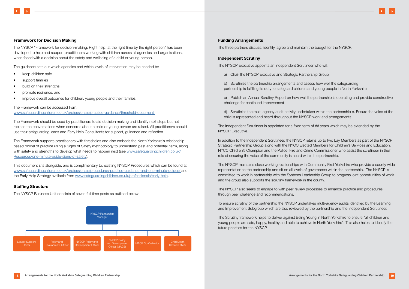The NYSCP "Framework for decision-making: Right help, at the right time by the right person" has been developed to help and support practitioners working with children across all agencies and organisations, when faced with a decision about the safety and wellbeing of a child or young person.

The guidance sets out which agencies and which levels of intervention may be needed to:

- keep children safe
- support families
- build on their strengths
- promote resilience, and
- improve overall outcomes for children, young people and their families.

### The Framework can be accessed from:

[www.safeguardingchildren.co.uk/professionals/practice-guidance/threshold-document](http://www.safeguardingchildren.co.uk/professionals/practice-guidance/threshold-document) 

The Framework should be used by practitioners to aid decision making and identify next steps but not replace the conversations when concerns about a child or young person are raised. All practitioners should use their safeguarding leads and Early Help Consultants for support, guidance and reflection.

The Framework supports practitioners with thresholds and also embeds the North Yorkshire's relationship based model of practice using a Signs of Safety methodology to understand past and potential harm, along with safety and strengths to develop what needs to happen next (see [www.safeguardingchildren.co.uk/](http://www.safeguardingchildren.co.uk/Resources/one-minute-guide-signs-of-safety) [Resources/one-minute-guide-signs-of-safety](http://www.safeguardingchildren.co.uk/Resources/one-minute-guide-signs-of-safety)).

This document sits alongside, and is complimentary to, existing NYSCP Procedures which can be found at [www.safeguardingchildren.co.uk/professionals/procedures-practice-guidance-and-one-minute-guides/](http://www.safeguardingchildren.co.uk/professionals/procedures-practice-guidance-and-one-minute-guides/) and the Early Help Strategy available from [www.safeguardingchildren.co.uk/professionals/early-help](http://www.safeguardingchildren.co.uk/professionals/early-help).

# Staffing Structure

The NYSCP Business Unit consists of seven full time posts as outlined below:

### Funding Arrangements

The three partners discuss, identify, agree and maintain the budget for the NYSCP.

### Independent Scrutiny

The NYSCP Executive appoints an Independent Scrutineer who will:

a) Chair the NYSCP Executive and Strategic Partnership Group

b) Scrutinise the partnership arrangements and assess how well the safeguarding partnership is fulfilling its duty to safeguard children and young people in North Yorkshire

c) Publish an Annual Scrutiny Report on how well the partnership is operating and provide constructive challenge for continued improvement

d) Scrutinise the multi-agency audit activity undertaken within the partnership e. Ensure the voice of the child is represented and heard throughout the NYSCP work and arrangements.

The Independent Scrutineer is appointed for a fixed term of ## years which may be extended by the NYSCP Executive.

In addition to the Independent Scrutineer, the NYSCP retains up to two Lay Members as part of the NYSCP Strategic Partnership Group along with the NYCC Elected Members for Children's Services and Education, NYCC Children's Champion and the Police, Fire and Crime Commissioner who assist the scrutineer in their role of ensuring the voice of the community is heard within the partnership.

The NYSCP maintains close working relationships with Community First Yorkshire who provide a county wide representation to the partnership and sit on all levels of governance within the partnership. The NYSCP is committed to work in partnership with the Systems Leadership Group to progress joint opportunities of work and the group also supports the scrutiny framework in the county.

The NYSCP also seeks to engage to with peer review processes to enhance practice and procedures through peer challenge and recommendations.

To ensure scrutiny of the partnership the NYSCP undertakes multi-agency audits identified by the Learning and Improvement Subgroup which are also reviewed by the partnership and the Independent Scrutineer.

The Scrutiny framework helps to deliver against Being Young in North Yorkshire to ensure "all children and young people are safe, happy, healthy and able to achieve in North Yorkshire". This also helps to identify the future priorities for the NYSCP.



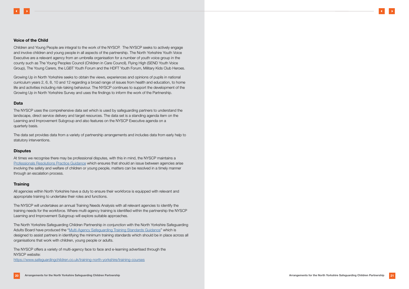# Voice of the Child

Children and Young People are integral to the work of the NYSCP. The NYSCP seeks to actively engage and involve children and young people in all aspects of the partnership. The North Yorkshire Youth Voice Executive are a relevant agency from an umbrella organisation for a number of youth voice group in the county such as The Young Peoples Council (Children in Care Council), Flying High (SEND Youth Voice Group), The Young Carers, the LGBT Youth Forum and the HDFT Youth Forum, Military Kids Club Heroes.

Growing Up in North Yorkshire seeks to obtain the views, experiences and opinions of pupils in national curriculum years 2, 6, 8, 10 and 12 regarding a broad range of issues from health and education, to home life and activities including risk-taking behaviour. The NYSCP continues to support the development of the Growing Up in North Yorkshire Survey and uses the findings to inform the work of the Partnership.

# Data

The NYSCP uses the comprehensive data set which is used by safeguarding partners to understand the landscape, direct service delivery and target resources. The data set is a standing agenda item on the Learning and Improvement Subgroup and also features on the NYSCP Executive agenda on a quarterly basis.

The data set provides data from a variety of partnership arrangements and includes data from early help to statutory interventions.

# **Disputes**

At times we recognise there may be professional disputes, with this in mind, the NYSCP maintains a [Professionals Resolutions Practice Guidance](https://www.safeguardingchildren.co.uk/professionals/practice-guidance/professional-resolutions/) which ensures that should an issue between agencies arise involving the safety and welfare of children or young people, matters can be resolved in a timely manner through an escalation process.

# **Training**

All agencies within North Yorkshire have a duty to ensure their workforce is equipped with relevant and appropriate training to undertake their roles and functions.

The NYSCP will undertakes an annual Training Needs Analysis with all relevant agencies to identify the training needs for the workforce. Where multi-agency training is identified within the partnership the NYSCP Learning and Improvement Subgroup will explore suitable approaches.

The North Yorkshire Safeguarding Children Partnership in conjunction with the North Yorkshire Safeguarding Adults Board have produced the ["Multi-Agency Safeguarding Training Standards Guidance"](https://www.safeguardingchildren.co.uk/training-north-yorkshire/training-courses/) which is designed to assist partners in identifying the minimum training standards which should be in place across all organisations that work with children, young people or adults.

The NYSCP offers a variety of multi-agency face to face and e-learning advertised through the NYSCP website:

[https://www.safeguardingchildren.co.uk/training-north-yorkshire/training-courses](http://https://www.safeguardingchildren.co.uk/training-north-yorkshire/training-courses)